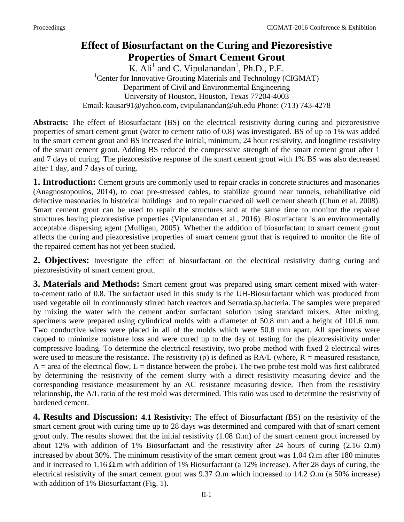## **Effect of Biosurfactant on the Curing and Piezoresistive Properties of Smart Cement Grout**

K.  $\overline{A}$ li<sup>1</sup> and C. Vipulanandan<sup>1</sup>, Ph.D., P.E. <sup>1</sup> Center for Innovative Grouting Materials and Technology (CIGMAT) Department of Civil and Environmental Engineering University of Houston, Houston, Texas 77204-4003 Email: kausar91@yahoo.com, cvipulanandan@uh.edu Phone: (713) 743-4278

**Abstracts:** The effect of Biosurfactant (BS) on the electrical resistivity during curing and piezoresistive properties of smart cement grout (water to cement ratio of 0.8) was investigated. BS of up to 1% was added to the smart cement grout and BS increased the initial, minimum, 24 hour resistivity, and longtime resistivity of the smart cement grout. Adding BS reduced the compressive strength of the smart cement grout after 1 and 7 days of curing. The piezoresistive response of the smart cement grout with 1% BS was also decreased after 1 day, and 7 days of curing.

**1. Introduction:** Cement grouts are commonly used to repair cracks in concrete structures and masonaries (Anagnostopoulos, 2014), to coat pre-stressed cables, to stabilize ground near tunnels, rehabilitative old defective masonaries in historical buildings and to repair cracked oil well cement sheath (Chun et al. 2008). Smart cement grout can be used to repair the structures and at the same time to monitor the repaired structures having piezoresistive properties (Vipulanandan et al., 2016). Biosurfactant is an environmentally acceptable dispersing agent (Mulligan, 2005). Whether the addition of biosurfactant to smart cement grout affects the curing and piezoresistive properties of smart cement grout that is required to monitor the life of the repaired cement has not yet been studied.

**2. Objectives:** Investigate the effect of biosurfactant on the electrical resistivity during curing and piezoresistivity of smart cement grout.

**3. Materials and Methods:** Smart cement grout was prepared using smart cement mixed with waterto-cement ratio of 0.8. The surfactant used in this study is the UH-Biosurfactant which was produced from used vegetable oil in continuously stirred batch reactors and Serratia.sp.bacteria. The samples were prepared by mixing the water with the cement and/or surfactant solution using standard mixers. After mixing, specimens were prepared using cylindrical molds with a diameter of 50.8 mm and a height of 101.6 mm. Two conductive wires were placed in all of the molds which were 50.8 mm apart. All specimens were capped to minimize moisture loss and were cured up to the day of testing for the piezoresisitivity under compressive loading. To determine the electrical resistivity, two probe method with fixed 2 electrical wires were used to measure the resistance. The resistivity ( $\rho$ ) is defined as RA/L (where, R = measured resistance,  $A =$  area of the electrical flow,  $L =$  distance between the probe). The two probe test mold was first calibrated by determining the resistivity of the cement slurry with a direct resistivity measuring device and the corresponding resistance measurement by an AC resistance measuring device. Then from the resistivity relationship, the A/L ratio of the test mold was determined. This ratio was used to determine the resistivity of hardened cement.

**4. Results and Discussion: 4.1 Resistivity:** The effect of Biosurfactant (BS) on the resistivity of the smart cement grout with curing time up to 28 days was determined and compared with that of smart cement grout only. The results showed that the initial resistivity  $(1.08 \Omega \text{m})$  of the smart cement grout increased by about 12% with addition of 1% Biosurfactant and the resistivity after 24 hours of curing (2.16 Ω.m) increased by about 30%. The minimum resistivity of the smart cement grout was 1.04 Ω.m after 180 minutes and it increased to 1.16 Ω.m with addition of 1% Biosurfactant (a 12% increase). After 28 days of curing, the electrical resistivity of the smart cement grout was 9.37  $\Omega$ .m which increased to 14.2  $\Omega$ .m (a 50% increase) with addition of 1% Biosurfactant (Fig. 1).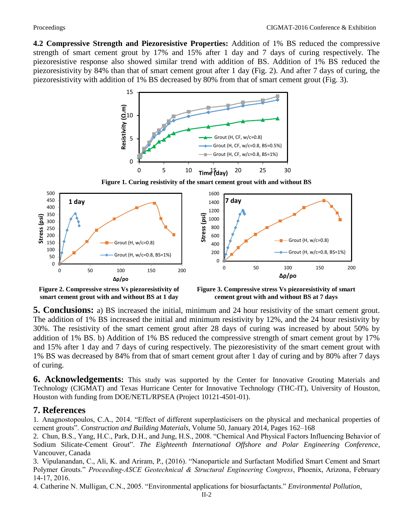**4.2 Compressive Strength and Piezoresistive Properties:** Addition of 1% BS reduced the compressive strength of smart cement grout by 17% and 15% after 1 day and 7 days of curing respectively. The piezoresistive response also showed similar trend with addition of BS. Addition of 1% BS reduced the piezoresistivity by 84% than that of smart cement grout after 1 day (Fig. 2). And after 7 days of curing, the piezoresistivity with addition of 1% BS decreased by 80% from that of smart cement grout (Fig. 3).



**Figure 1. Curing resistivity of the smart cement grout with and without BS** 



**smart cement grout with and without BS at 1 day**

**cement grout with and without BS at 7 days**

**5. Conclusions:** a) BS increased the initial, minimum and 24 hour resistivity of the smart cement grout. The addition of 1% BS increased the initial and minimum resistivity by 12%, and the 24 hour resistivity by 30%. The resistivity of the smart cement grout after 28 days of curing was increased by about 50% by addition of 1% BS. b) Addition of 1% BS reduced the compressive strength of smart cement grout by 17% and 15% after 1 day and 7 days of curing respectively. The piezoresistivity of the smart cement grout with 1% BS was decreased by 84% from that of smart cement grout after 1 day of curing and by 80% after 7 days of curing.

**6. Acknowledgements:** This study was supported by the Center for Innovative Grouting Materials and Technology (CIGMAT) and Texas Hurricane Center for Innovative Technology (THC-IT), University of Houston, Houston with funding from DOE/NETL/RPSEA (Project 10121-4501-01).

## **7. References**

1. Anagnostopoulos, C.A., 2014. "Effect of different superplasticisers on the physical and mechanical properties of cement grouts". *Construction and Building Materials*, Volume 50, January 2014, Pages 162–168

2. Chun, B.S., Yang, H.C., Park, D.H., and Jung, H.S., 2008. "Chemical And Physical Factors Influencing Behavior of Sodium Silicate-Cement Grout". *The Eighteenth International Offshore and Polar Engineering Conference*, Vancouver, Canada

3. Vipulanandan, C., Ali, K. and Ariram, P., (2016). "Nanoparticle and Surfactant Modified Smart Cement and Smart Polymer Grouts." *Proceeding-ASCE Geotechnical & Structural Engineering Congress*, Phoenix, Arizona, February 14-17, 2016.

4. Catherine N. Mulligan, C.N., 2005. "Environmental applications for biosurfactants." *Environmental Pollution*,